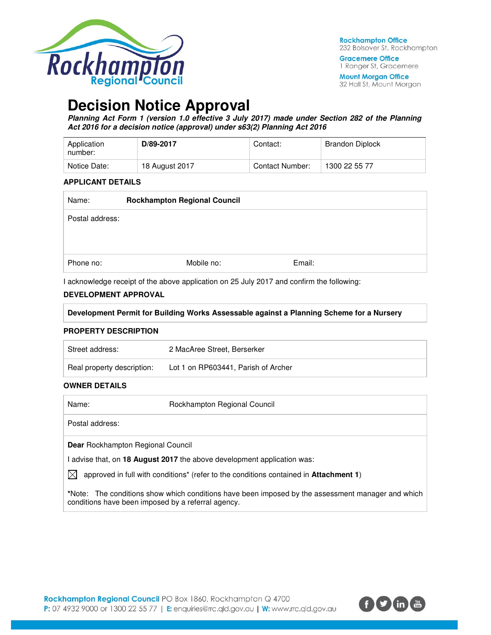

**Gracemere Office** 1 Ranger St, Gracemere

**Mount Morgan Office** 32 Hall St, Mount Morgan

# **Decision Notice Approval**

**Planning Act Form 1 (version 1.0 effective 3 July 2017) made under Section 282 of the Planning Act 2016 for a decision notice (approval) under s63(2) Planning Act 2016** 

| Application<br>number: | D/89-2017      | Contact:        | <b>Brandon Diplock</b> |
|------------------------|----------------|-----------------|------------------------|
| Notice Date:           | 18 August 2017 | Contact Number: | 1300 22 55 77          |

#### **APPLICANT DETAILS**

| Name:           | <b>Rockhampton Regional Council</b> |            |        |
|-----------------|-------------------------------------|------------|--------|
| Postal address: |                                     |            |        |
|                 |                                     |            |        |
|                 |                                     |            |        |
| Phone no:       |                                     | Mobile no: | Email: |

I acknowledge receipt of the above application on 25 July 2017 and confirm the following:

#### **DEVELOPMENT APPROVAL**

| Development Permit for Building Works Assessable against a Planning Scheme for a Nursery |  |
|------------------------------------------------------------------------------------------|--|
|                                                                                          |  |

#### **PROPERTY DESCRIPTION**

| Street address:            | 2 MacAree Street, Berserker         |
|----------------------------|-------------------------------------|
| Real property description: | Lot 1 on RP603441, Parish of Archer |

#### **OWNER DETAILS**

| Name:                                              | Rockhampton Regional Council                                                                             |
|----------------------------------------------------|----------------------------------------------------------------------------------------------------------|
| Postal address:                                    |                                                                                                          |
| <b>Dear</b> Rockhampton Regional Council           |                                                                                                          |
|                                                    | I advise that, on 18 August 2017 the above development application was:                                  |
| IXI                                                | approved in full with conditions <sup>*</sup> (refer to the conditions contained in <b>Attachment 1)</b> |
| conditions have been imposed by a referral agency. | *Note: The conditions show which conditions have been imposed by the assessment manager and which        |

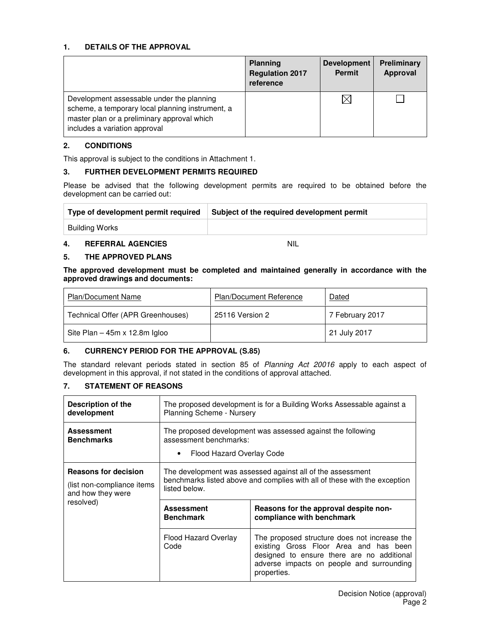#### **1. DETAILS OF THE APPROVAL**

|                                                                                                                                                                               | <b>Planning</b><br><b>Regulation 2017</b><br>reference | Development<br><b>Permit</b> | <b>Preliminary</b><br>Approval |
|-------------------------------------------------------------------------------------------------------------------------------------------------------------------------------|--------------------------------------------------------|------------------------------|--------------------------------|
| Development assessable under the planning<br>scheme, a temporary local planning instrument, a<br>master plan or a preliminary approval which<br>includes a variation approval |                                                        | $\boxtimes$                  |                                |

#### **2. CONDITIONS**

This approval is subject to the conditions in Attachment 1.

#### **3. FURTHER DEVELOPMENT PERMITS REQUIRED**

Please be advised that the following development permits are required to be obtained before the development can be carried out:

| Type of development permit required | Subject of the required development permit |
|-------------------------------------|--------------------------------------------|
| Building Works                      |                                            |

#### **4. REFERRAL AGENCIES** NIL

#### **5. THE APPROVED PLANS**

**The approved development must be completed and maintained generally in accordance with the approved drawings and documents:** 

| <b>Plan/Document Name</b>         | Plan/Document Reference | Dated           |
|-----------------------------------|-------------------------|-----------------|
| Technical Offer (APR Greenhouses) | 25116 Version 2         | 7 February 2017 |
| Site Plan $-$ 45m x 12.8m Igloo   |                         | 21 July 2017    |

#### **6. CURRENCY PERIOD FOR THE APPROVAL (S.85)**

The standard relevant periods stated in section 85 of Planning Act 20016 apply to each aspect of development in this approval, if not stated in the conditions of approval attached.

### **7. STATEMENT OF REASONS**

| Description of the<br>development                                               | The proposed development is for a Building Works Assessable against a<br><b>Planning Scheme - Nursery</b>                                                |                                                                                                                                                                                                  |  |
|---------------------------------------------------------------------------------|----------------------------------------------------------------------------------------------------------------------------------------------------------|--------------------------------------------------------------------------------------------------------------------------------------------------------------------------------------------------|--|
| <b>Assessment</b><br><b>Benchmarks</b>                                          | The proposed development was assessed against the following<br>assessment benchmarks:<br>Flood Hazard Overlay Code<br>٠                                  |                                                                                                                                                                                                  |  |
| <b>Reasons for decision</b><br>(list non-compliance items)<br>and how they were | The development was assessed against all of the assessment<br>benchmarks listed above and complies with all of these with the exception<br>listed below. |                                                                                                                                                                                                  |  |
| resolved)                                                                       | <b>Assessment</b><br><b>Benchmark</b>                                                                                                                    | Reasons for the approval despite non-<br>compliance with benchmark                                                                                                                               |  |
|                                                                                 | Flood Hazard Overlay<br>Code                                                                                                                             | The proposed structure does not increase the<br>existing Gross Floor Area and has been<br>designed to ensure there are no additional<br>adverse impacts on people and surrounding<br>properties. |  |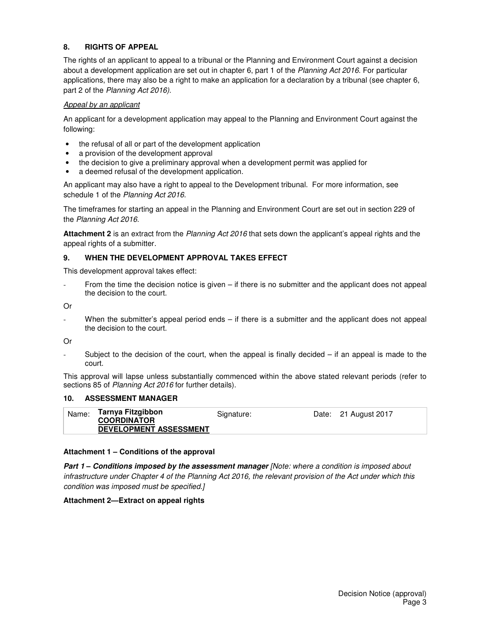### **8. RIGHTS OF APPEAL**

The rights of an applicant to appeal to a tribunal or the Planning and Environment Court against a decision about a development application are set out in chapter 6, part 1 of the Planning Act 2016. For particular applications, there may also be a right to make an application for a declaration by a tribunal (see chapter 6, part 2 of the Planning Act 2016).

#### Appeal by an applicant

An applicant for a development application may appeal to the Planning and Environment Court against the following:

- the refusal of all or part of the development application
- a provision of the development approval
- the decision to give a preliminary approval when a development permit was applied for
- a deemed refusal of the development application.

An applicant may also have a right to appeal to the Development tribunal. For more information, see schedule 1 of the Planning Act 2016.

The timeframes for starting an appeal in the Planning and Environment Court are set out in section 229 of the Planning Act 2016.

**Attachment 2** is an extract from the Planning Act 2016 that sets down the applicant's appeal rights and the appeal rights of a submitter.

#### **9. WHEN THE DEVELOPMENT APPROVAL TAKES EFFECT**

This development approval takes effect:

From the time the decision notice is given – if there is no submitter and the applicant does not appeal the decision to the court.

Or

When the submitter's appeal period ends – if there is a submitter and the applicant does not appeal the decision to the court.

Or

Subject to the decision of the court, when the appeal is finally decided  $-$  if an appeal is made to the court.

This approval will lapse unless substantially commenced within the above stated relevant periods (refer to sections 85 of Planning Act 2016 for further details).

#### **10. ASSESSMENT MANAGER**

| Tarnya Fitzgibbon<br>Name:<br>Date: 21 August 2017<br>Signature:<br><b>COORDINATOR</b><br><b>DEVELOPMENT ASSESSMENT</b> |
|-------------------------------------------------------------------------------------------------------------------------|
|-------------------------------------------------------------------------------------------------------------------------|

#### **Attachment 1 – Conditions of the approval**

Part 1 - Conditions imposed by the assessment manager [Note: where a condition is imposed about infrastructure under Chapter 4 of the Planning Act 2016, the relevant provision of the Act under which this condition was imposed must be specified.]

#### **Attachment 2—Extract on appeal rights**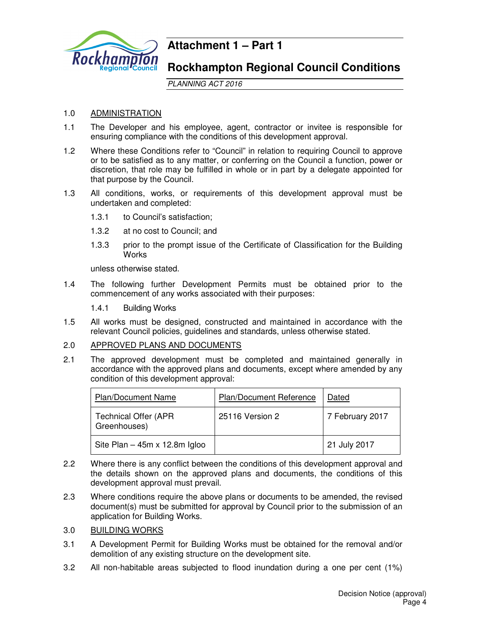

## **Attachment 1 – Part 1**

## **Rockhampton Regional Council Conditions**

PLANNING ACT 2016

#### 1.0 ADMINISTRATION

- 1.1 The Developer and his employee, agent, contractor or invitee is responsible for ensuring compliance with the conditions of this development approval.
- 1.2 Where these Conditions refer to "Council" in relation to requiring Council to approve or to be satisfied as to any matter, or conferring on the Council a function, power or discretion, that role may be fulfilled in whole or in part by a delegate appointed for that purpose by the Council.
- 1.3 All conditions, works, or requirements of this development approval must be undertaken and completed:
	- 1.3.1 to Council's satisfaction;
	- 1.3.2 at no cost to Council; and
	- 1.3.3 prior to the prompt issue of the Certificate of Classification for the Building **Works**

unless otherwise stated.

- 1.4 The following further Development Permits must be obtained prior to the commencement of any works associated with their purposes:
	- 1.4.1 Building Works
- 1.5 All works must be designed, constructed and maintained in accordance with the relevant Council policies, guidelines and standards, unless otherwise stated.

#### 2.0 APPROVED PLANS AND DOCUMENTS

2.1 The approved development must be completed and maintained generally in accordance with the approved plans and documents, except where amended by any condition of this development approval:

| <b>Plan/Document Name</b>                    | Plan/Document Reference | Dated           |
|----------------------------------------------|-------------------------|-----------------|
| <b>Technical Offer (APR)</b><br>Greenhouses) | 25116 Version 2         | 7 February 2017 |
| Site Plan $-$ 45m x 12.8m Igloo              |                         | 21 July 2017    |

- 2.2 Where there is any conflict between the conditions of this development approval and the details shown on the approved plans and documents, the conditions of this development approval must prevail.
- 2.3 Where conditions require the above plans or documents to be amended, the revised document(s) must be submitted for approval by Council prior to the submission of an application for Building Works.
- 3.0 BUILDING WORKS
- 3.1 A Development Permit for Building Works must be obtained for the removal and/or demolition of any existing structure on the development site.
- 3.2 All non-habitable areas subjected to flood inundation during a one per cent (1%)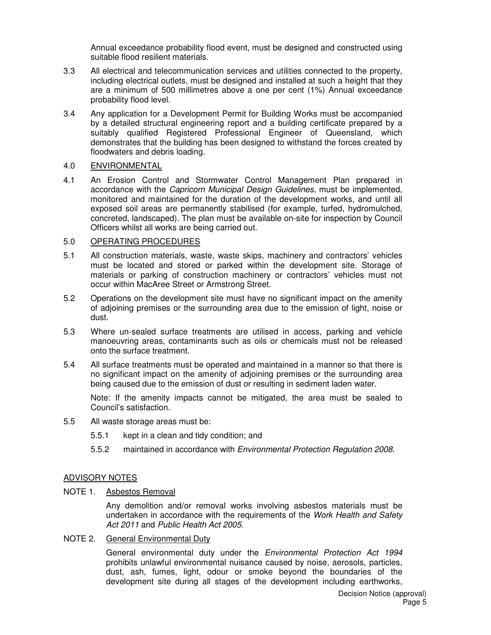Annual exceedance probability flood event, must be designed and constructed using suitable flood resilient materials.

- 3.3 All electrical and telecommunication services and utilities connected to the property, including electrical outlets, must be designed and installed at such a height that they are a minimum of 500 millimetres above a one per cent (1%) Annual exceedance probability flood level.
- 3.4 Any application for a Development Permit for Building Works must be accompanied by a detailed structural engineering report and a building certificate prepared by a suitably qualified Registered Professional Engineer of Queensland, which demonstrates that the building has been designed to withstand the forces created by floodwaters and debris loading.

#### 4.0 ENVIRONMENTAL

4.1 An Erosion Control and Stormwater Control Management Plan prepared in accordance with the Capricorn Municipal Design Guidelines, must be implemented, monitored and maintained for the duration of the development works, and until all exposed soil areas are permanently stabilised (for example, turfed, hydromulched, concreted, landscaped). The plan must be available on-site for inspection by Council Officers whilst all works are being carried out.

#### 5.0 OPERATING PROCEDURES

- 5.1 All construction materials, waste, waste skips, machinery and contractors' vehicles must be located and stored or parked within the development site. Storage of materials or parking of construction machinery or contractors' vehicles must not occur within MacAree Street or Armstrong Street.
- 5.2 Operations on the development site must have no significant impact on the amenity of adjoining premises or the surrounding area due to the emission of light, noise or dust.
- 5.3 Where un-sealed surface treatments are utilised in access, parking and vehicle manoeuvring areas, contaminants such as oils or chemicals must not be released onto the surface treatment.
- 5.4 All surface treatments must be operated and maintained in a manner so that there is no significant impact on the amenity of adjoining premises or the surrounding area being caused due to the emission of dust or resulting in sediment laden water.

Note: If the amenity impacts cannot be mitigated, the area must be sealed to Council's satisfaction.

- 5.5 All waste storage areas must be:
	- 5.5.1 kept in a clean and tidy condition; and
	- 5.5.2 maintained in accordance with Environmental Protection Regulation 2008.

#### ADVISORY NOTES

NOTE 1. Asbestos Removal

Any demolition and/or removal works involving asbestos materials must be undertaken in accordance with the requirements of the Work Health and Safety Act 2011 and Public Health Act 2005.

#### NOTE 2. General Environmental Duty

General environmental duty under the Environmental Protection Act 1994 prohibits unlawful environmental nuisance caused by noise, aerosols, particles, dust, ash, fumes, light, odour or smoke beyond the boundaries of the development site during all stages of the development including earthworks,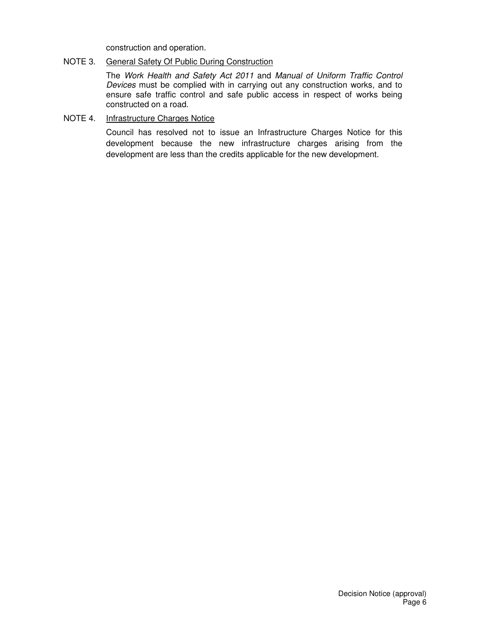construction and operation.

#### NOTE 3. General Safety Of Public During Construction

The Work Health and Safety Act 2011 and Manual of Uniform Traffic Control Devices must be complied with in carrying out any construction works, and to ensure safe traffic control and safe public access in respect of works being constructed on a road.

### NOTE 4. Infrastructure Charges Notice

Council has resolved not to issue an Infrastructure Charges Notice for this development because the new infrastructure charges arising from the development are less than the credits applicable for the new development.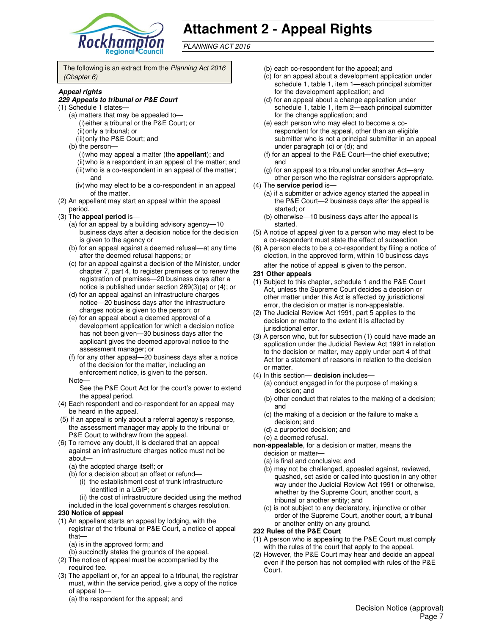

# **Attachment 2 - Appeal Rights**

PLANNING ACT 2016

The following is an extract from the Planning Act 2016 (Chapter 6)

#### **Appeal rights**

#### **229 Appeals to tribunal or P&E Court**

- (1) Schedule 1 states—
	- (a) matters that may be appealed to— (i) either a tribunal or the P&E Court; or (ii) only a tribunal; or (iii) only the P&E Court; and
	- (b) the person—
		- (i) who may appeal a matter (the **appellant**); and (ii) who is a respondent in an appeal of the matter; and (iii) who is a co-respondent in an appeal of the matter; and
		- (iv) who may elect to be a co-respondent in an appeal of the matter.
- (2) An appellant may start an appeal within the appeal period.
- (3) The **appeal period** is—
	- (a) for an appeal by a building advisory agency—10 business days after a decision notice for the decision is given to the agency or
	- (b) for an appeal against a deemed refusal—at any time after the deemed refusal happens; or
	- (c) for an appeal against a decision of the Minister, under chapter 7, part 4, to register premises or to renew the registration of premises—20 business days after a notice is published under section 269(3)(a) or (4); or
	- (d) for an appeal against an infrastructure charges notice—20 business days after the infrastructure charges notice is given to the person; or
	- (e) for an appeal about a deemed approval of a development application for which a decision notice has not been given—30 business days after the applicant gives the deemed approval notice to the assessment manager; or
	- (f) for any other appeal—20 business days after a notice of the decision for the matter, including an enforcement notice, is given to the person.
	- Note—

See the P&E Court Act for the court's power to extend the appeal period.

- (4) Each respondent and co-respondent for an appeal may be heard in the appeal.
- (5) If an appeal is only about a referral agency's response, the assessment manager may apply to the tribunal or P&E Court to withdraw from the appeal.
- (6) To remove any doubt, it is declared that an appeal against an infrastructure charges notice must not be about—
	- (a) the adopted charge itself; or
	- (b) for a decision about an offset or refund—
		- (i) the establishment cost of trunk infrastructure identified in a LGIP; or
	- (ii) the cost of infrastructure decided using the method included in the local government's charges resolution.

#### **230 Notice of appeal**

- (1) An appellant starts an appeal by lodging, with the registrar of the tribunal or P&E Court, a notice of appeal that—
	- (a) is in the approved form; and
	- (b) succinctly states the grounds of the appeal.
- (2) The notice of appeal must be accompanied by the required fee.
- (3) The appellant or, for an appeal to a tribunal, the registrar must, within the service period, give a copy of the notice of appeal to—
	- (a) the respondent for the appeal; and
- (b) each co-respondent for the appeal; and
- (c) for an appeal about a development application under schedule 1, table 1, item 1—each principal submitter for the development application; and
- (d) for an appeal about a change application under schedule 1, table 1, item 2—each principal submitter for the change application; and
- (e) each person who may elect to become a corespondent for the appeal, other than an eligible submitter who is not a principal submitter in an appeal under paragraph (c) or (d); and
- (f) for an appeal to the P&E Court—the chief executive; and
- (g) for an appeal to a tribunal under another Act—any other person who the registrar considers appropriate.
- (4) The **service period** is—
	- (a) if a submitter or advice agency started the appeal in the P&E Court—2 business days after the appeal is started; or
	- (b) otherwise—10 business days after the appeal is started.
- (5) A notice of appeal given to a person who may elect to be a co-respondent must state the effect of subsection
- (6) A person elects to be a co-respondent by filing a notice of election, in the approved form, within 10 business days after the notice of appeal is given to the person*.*

#### **231 Other appeals**

- (1) Subject to this chapter, schedule 1 and the P&E Court Act, unless the Supreme Court decides a decision or other matter under this Act is affected by jurisdictional error, the decision or matter is non-appealable.
- (2) The Judicial Review Act 1991, part 5 applies to the decision or matter to the extent it is affected by jurisdictional error.
- (3) A person who, but for subsection (1) could have made an application under the Judicial Review Act 1991 in relation to the decision or matter, may apply under part 4 of that Act for a statement of reasons in relation to the decision or matter.
- (4) In this section— **decision** includes—
	- (a) conduct engaged in for the purpose of making a decision; and
	- (b) other conduct that relates to the making of a decision; and
	- (c) the making of a decision or the failure to make a decision; and
	- (d) a purported decision; and
	- (e) a deemed refusal.

**non-appealable**, for a decision or matter, means the decision or matter—

- (a) is final and conclusive; and
- (b) may not be challenged, appealed against, reviewed, quashed, set aside or called into question in any other way under the Judicial Review Act 1991 or otherwise, whether by the Supreme Court, another court, a tribunal or another entity; and
- (c) is not subject to any declaratory, injunctive or other order of the Supreme Court, another court, a tribunal or another entity on any ground.

#### **232 Rules of the P&E Court**

- (1) A person who is appealing to the P&E Court must comply with the rules of the court that apply to the appeal.
- (2) However, the P&E Court may hear and decide an appeal even if the person has not complied with rules of the P&E Court.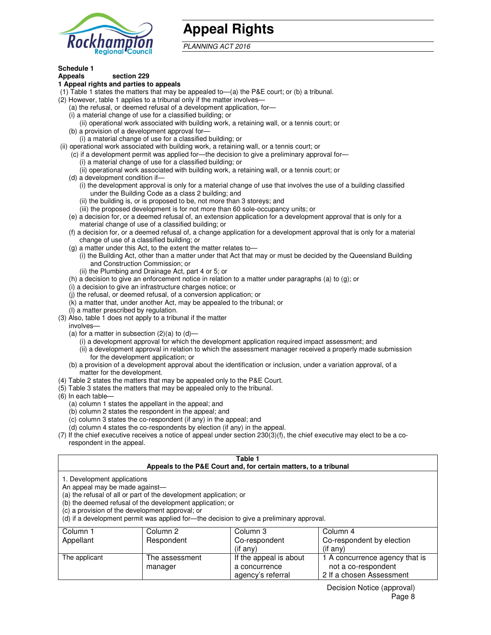

## **Appeal Rights**

PLANNING ACT 2016

#### **Schedule 1 Appeals section 229**

### **1 Appeal rights and parties to appeals**

- (1) Table 1 states the matters that may be appealed to—(a) the P&E court; or (b) a tribunal.
- (2) However, table 1 applies to a tribunal only if the matter involves—
	- (a) the refusal, or deemed refusal of a development application, for—
	- (i) a material change of use for a classified building; or
	- (ii) operational work associated with building work, a retaining wall, or a tennis court; or (b) a provision of a development approval for—
	- (i) a material change of use for a classified building; or
- (ii) operational work associated with building work, a retaining wall, or a tennis court; or
	- (c) if a development permit was applied for—the decision to give a preliminary approval for—
		- (i) a material change of use for a classified building; or
		- (ii) operational work associated with building work, a retaining wall, or a tennis court; or
	- (d) a development condition if—
		- (i) the development approval is only for a material change of use that involves the use of a building classified under the Building Code as a class 2 building; and
		- (ii) the building is, or is proposed to be, not more than 3 storeys; and
		- (iii) the proposed development is for not more than 60 sole-occupancy units; or
	- (e) a decision for, or a deemed refusal of, an extension application for a development approval that is only for a material change of use of a classified building; or
	- (f) a decision for, or a deemed refusal of, a change application for a development approval that is only for a material change of use of a classified building; or
	- (g) a matter under this Act, to the extent the matter relates to—
		- (i) the Building Act, other than a matter under that Act that may or must be decided by the Queensland Building and Construction Commission; or
		- (ii) the Plumbing and Drainage Act, part 4 or 5; or
	- (h) a decision to give an enforcement notice in relation to a matter under paragraphs (a) to (g); or
	- (i) a decision to give an infrastructure charges notice; or
	- (j) the refusal, or deemed refusal, of a conversion application; or
	- (k) a matter that, under another Act, may be appealed to the tribunal; or
	- (l) a matter prescribed by regulation.
- (3) Also, table 1 does not apply to a tribunal if the matter
- involves—
	- (a) for a matter in subsection  $(2)(a)$  to  $(d)$ 
		- (i) a development approval for which the development application required impact assessment; and
		- (ii) a development approval in relation to which the assessment manager received a properly made submission for the development application; or
	- (b) a provision of a development approval about the identification or inclusion, under a variation approval, of a matter for the development.
- (4) Table 2 states the matters that may be appealed only to the P&E Court.
- (5) Table 3 states the matters that may be appealed only to the tribunal.
- (6) In each table—
	- (a) column 1 states the appellant in the appeal; and
	- (b) column 2 states the respondent in the appeal; and
	- (c) column 3 states the co-respondent (if any) in the appeal; and
	- (d) column 4 states the co-respondents by election (if any) in the appeal.
- (7) If the chief executive receives a notice of appeal under section 230(3)(f), the chief executive may elect to be a corespondent in the appeal.

#### **Table 1 Appeals to the P&E Court and, for certain matters, to a tribunal**

|  |  | 1. Development applications |  |
|--|--|-----------------------------|--|
|  |  |                             |  |

An appeal may be made against—

(a) the refusal of all or part of the development application; or

(b) the deemed refusal of the development application; or

(c) a provision of the development approval; or

(d) if a development permit was applied for—the decision to give a preliminary approval.

| Column 1      | Column 2       | Column 3               | Column 4                       |
|---------------|----------------|------------------------|--------------------------------|
| Appellant     | Respondent     | Co-respondent          | Co-respondent by election      |
|               |                | $($ if any $)$         | $($ if any $)$                 |
| The applicant | The assessment | If the appeal is about | 1 A concurrence agency that is |
|               | manager        | a concurrence          | not a co-respondent            |
|               |                | agency's referral      | 2 If a chosen Assessment       |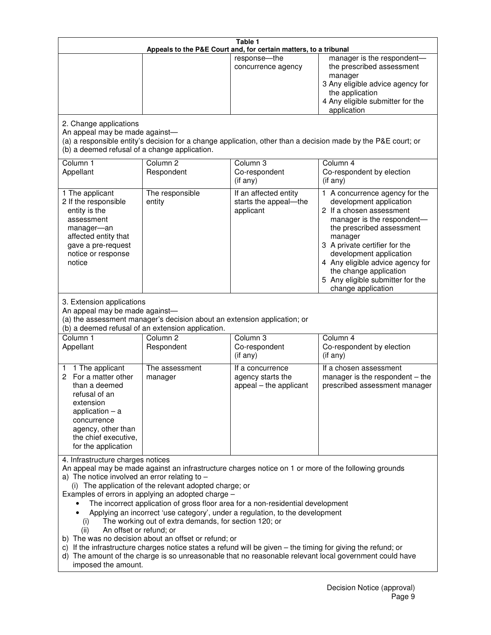|                                                                                                                                                                                                      |                                                                                                                                                                                                                               | Table 1<br>Appeals to the P&E Court and, for certain matters, to a tribunal                                                                                                                                                                                                     |                                                                                                                                                                                                                                                                                                                                                 |
|------------------------------------------------------------------------------------------------------------------------------------------------------------------------------------------------------|-------------------------------------------------------------------------------------------------------------------------------------------------------------------------------------------------------------------------------|---------------------------------------------------------------------------------------------------------------------------------------------------------------------------------------------------------------------------------------------------------------------------------|-------------------------------------------------------------------------------------------------------------------------------------------------------------------------------------------------------------------------------------------------------------------------------------------------------------------------------------------------|
|                                                                                                                                                                                                      |                                                                                                                                                                                                                               | response-the<br>concurrence agency                                                                                                                                                                                                                                              | manager is the respondent-<br>the prescribed assessment<br>manager<br>3 Any eligible advice agency for<br>the application<br>4 Any eligible submitter for the<br>application                                                                                                                                                                    |
| 2. Change applications<br>An appeal may be made against-<br>(b) a deemed refusal of a change application.                                                                                            |                                                                                                                                                                                                                               |                                                                                                                                                                                                                                                                                 | (a) a responsible entity's decision for a change application, other than a decision made by the P&E court; or                                                                                                                                                                                                                                   |
| Column 1<br>Appellant                                                                                                                                                                                | Column <sub>2</sub><br>Respondent                                                                                                                                                                                             | Column <sub>3</sub><br>Co-respondent<br>(if any)                                                                                                                                                                                                                                | Column 4<br>Co-respondent by election<br>(if any)                                                                                                                                                                                                                                                                                               |
| 1 The applicant<br>2 If the responsible<br>entity is the<br>assessment<br>manager-an<br>affected entity that<br>gave a pre-request<br>notice or response<br>notice                                   | The responsible<br>entity                                                                                                                                                                                                     | If an affected entity<br>starts the appeal-the<br>applicant                                                                                                                                                                                                                     | 1 A concurrence agency for the<br>development application<br>2 If a chosen assessment<br>manager is the respondent-<br>the prescribed assessment<br>manager<br>3 A private certifier for the<br>development application<br>4 Any eligible advice agency for<br>the change application<br>5 Any eligible submitter for the<br>change application |
| 3. Extension applications<br>An appeal may be made against-<br>Column 1<br>Appellant                                                                                                                 | (a) the assessment manager's decision about an extension application; or<br>(b) a deemed refusal of an extension application.<br>Column <sub>2</sub><br>Respondent                                                            | Column <sub>3</sub><br>Co-respondent                                                                                                                                                                                                                                            | Column <sub>4</sub><br>Co-respondent by election                                                                                                                                                                                                                                                                                                |
| 1 The applicant<br>1<br>2 For a matter other<br>than a deemed<br>refusal of an<br>extension<br>application $-$ a<br>concurrence<br>agency, other than<br>the chief executive,<br>for the application | The assessment<br>manager                                                                                                                                                                                                     | (if any)<br>If a concurrence<br>agency starts the<br>appeal – the applicant                                                                                                                                                                                                     | (if any)<br>If a chosen assessment<br>manager is the respondent - the<br>prescribed assessment manager                                                                                                                                                                                                                                          |
| 4. Infrastructure charges notices<br>a) The notice involved an error relating to $-$<br>(i)<br>An offset or refund; or<br>(ii)<br>imposed the amount.                                                | (i) The application of the relevant adopted charge; or<br>Examples of errors in applying an adopted charge -<br>The working out of extra demands, for section 120; or<br>b) The was no decision about an offset or refund; or | The incorrect application of gross floor area for a non-residential development<br>Applying an incorrect 'use category', under a regulation, to the development<br>c) If the infrastructure charges notice states a refund will be given - the timing for giving the refund; or | An appeal may be made against an infrastructure charges notice on 1 or more of the following grounds<br>d) The amount of the charge is so unreasonable that no reasonable relevant local government could have                                                                                                                                  |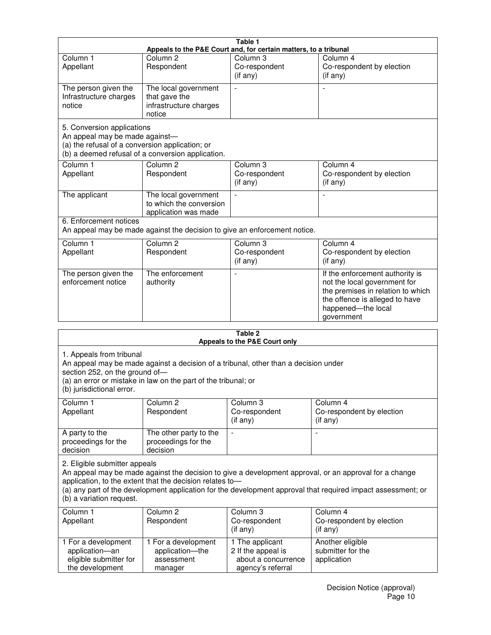| Table 1                                                                                                         |                                                                           |                                                  |                                                                                                                                                                            |  |
|-----------------------------------------------------------------------------------------------------------------|---------------------------------------------------------------------------|--------------------------------------------------|----------------------------------------------------------------------------------------------------------------------------------------------------------------------------|--|
| Appeals to the P&E Court and, for certain matters, to a tribunal                                                |                                                                           |                                                  |                                                                                                                                                                            |  |
| Column <sub>1</sub><br>Appellant                                                                                | Column <sub>2</sub><br>Respondent                                         | Column 3<br>Co-respondent<br>(if any)            | Column 4<br>Co-respondent by election<br>(if any)                                                                                                                          |  |
| The person given the<br>Infrastructure charges<br>notice                                                        | The local government<br>that gave the<br>infrastructure charges<br>notice |                                                  |                                                                                                                                                                            |  |
| 5. Conversion applications<br>An appeal may be made against-<br>(a) the refusal of a conversion application; or | (b) a deemed refusal of a conversion application.                         |                                                  |                                                                                                                                                                            |  |
| Column <sub>1</sub><br>Appellant                                                                                | Column <sub>2</sub><br>Respondent                                         | Column <sub>3</sub><br>Co-respondent<br>(if any) | Column 4<br>Co-respondent by election<br>(i f any)                                                                                                                         |  |
| The applicant                                                                                                   | The local government<br>to which the conversion<br>application was made   |                                                  |                                                                                                                                                                            |  |
| 6. Enforcement notices                                                                                          | An appeal may be made against the decision to give an enforcement notice. |                                                  |                                                                                                                                                                            |  |
| Column <sub>1</sub><br>Appellant                                                                                | Column <sub>2</sub><br>Respondent                                         | Column 3<br>Co-respondent<br>(if any)            | Column 4<br>Co-respondent by election<br>(if any)                                                                                                                          |  |
| The person given the<br>enforcement notice                                                                      | The enforcement<br>authority                                              |                                                  | If the enforcement authority is<br>not the local government for<br>the premises in relation to which<br>the offence is alleged to have<br>happened-the local<br>government |  |
|                                                                                                                 |                                                                           | 9 Tahle                                          |                                                                                                                                                                            |  |

| Table 2<br>Appeals to the P&E Court only                                                                                                                                                                                                                                                                                                        |                                                                 |                                                                                   |                                                      |  |
|-------------------------------------------------------------------------------------------------------------------------------------------------------------------------------------------------------------------------------------------------------------------------------------------------------------------------------------------------|-----------------------------------------------------------------|-----------------------------------------------------------------------------------|------------------------------------------------------|--|
| 1. Appeals from tribunal<br>An appeal may be made against a decision of a tribunal, other than a decision under<br>section 252, on the ground of-<br>(a) an error or mistake in law on the part of the tribunal; or<br>(b) jurisdictional error.                                                                                                |                                                                 |                                                                                   |                                                      |  |
| Column <sub>1</sub><br>Appellant                                                                                                                                                                                                                                                                                                                | Column <sub>2</sub><br>Respondent                               | Column <sub>3</sub><br>Co-respondent<br>(if any)                                  | Column 4<br>Co-respondent by election<br>(if any)    |  |
| A party to the<br>proceedings for the<br>decision                                                                                                                                                                                                                                                                                               | The other party to the<br>proceedings for the<br>decision       | $\blacksquare$                                                                    |                                                      |  |
| 2. Eligible submitter appeals<br>An appeal may be made against the decision to give a development approval, or an approval for a change<br>application, to the extent that the decision relates to-<br>(a) any part of the development application for the development approval that required impact assessment; or<br>(b) a variation request. |                                                                 |                                                                                   |                                                      |  |
| Column 1<br>Appellant                                                                                                                                                                                                                                                                                                                           | Column <sub>2</sub><br>Respondent                               | Column 3<br>Co-respondent<br>(i f any)                                            | Column 4<br>Co-respondent by election<br>(if any)    |  |
| 1 For a development<br>application-an<br>eligible submitter for<br>the development                                                                                                                                                                                                                                                              | 1 For a development<br>application-the<br>assessment<br>manager | 1 The applicant<br>2 If the appeal is<br>about a concurrence<br>agency's referral | Another eligible<br>submitter for the<br>application |  |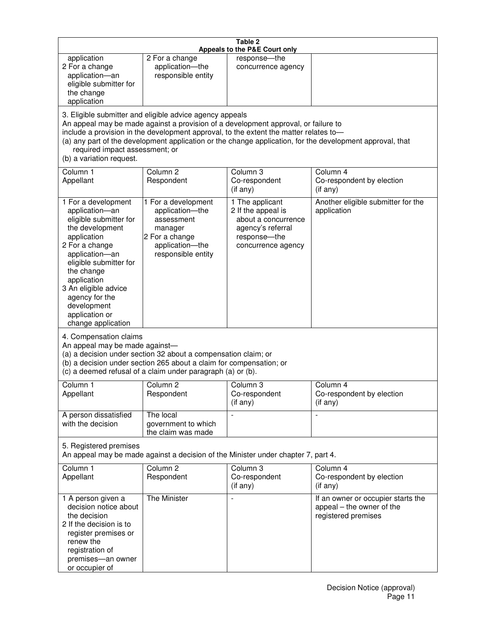| Table 2<br>Appeals to the P&E Court only                                                                                                                                                                                                                                                                                                                                                                           |                                                                                                                            |                                                                                                                         |                                                                                        |
|--------------------------------------------------------------------------------------------------------------------------------------------------------------------------------------------------------------------------------------------------------------------------------------------------------------------------------------------------------------------------------------------------------------------|----------------------------------------------------------------------------------------------------------------------------|-------------------------------------------------------------------------------------------------------------------------|----------------------------------------------------------------------------------------|
| application<br>2 For a change<br>application-an<br>eligible submitter for<br>the change<br>application                                                                                                                                                                                                                                                                                                             | 2 For a change<br>application-the<br>responsible entity                                                                    | response-the<br>concurrence agency                                                                                      |                                                                                        |
| 3. Eligible submitter and eligible advice agency appeals<br>An appeal may be made against a provision of a development approval, or failure to<br>include a provision in the development approval, to the extent the matter relates to-<br>(a) any part of the development application or the change application, for the development approval, that<br>required impact assessment; or<br>(b) a variation request. |                                                                                                                            |                                                                                                                         |                                                                                        |
| Column 1<br>Appellant                                                                                                                                                                                                                                                                                                                                                                                              | Column <sub>2</sub><br>Respondent                                                                                          | Column 3<br>Co-respondent<br>(if any)                                                                                   | Column 4<br>Co-respondent by election<br>(i f any)                                     |
| 1 For a development<br>application-an<br>eligible submitter for<br>the development<br>application<br>2 For a change<br>application-an<br>eligible submitter for<br>the change<br>application<br>3 An eligible advice<br>agency for the<br>development<br>application or<br>change application                                                                                                                      | 1 For a development<br>application-the<br>assessment<br>manager<br>2 For a change<br>application-the<br>responsible entity | 1 The applicant<br>2 If the appeal is<br>about a concurrence<br>agency's referral<br>response-the<br>concurrence agency | Another eligible submitter for the<br>application                                      |
| 4. Compensation claims<br>An appeal may be made against-<br>(a) a decision under section 32 about a compensation claim; or<br>(b) a decision under section 265 about a claim for compensation; or<br>(c) a deemed refusal of a claim under paragraph (a) or (b).                                                                                                                                                   |                                                                                                                            |                                                                                                                         |                                                                                        |
| Column 1<br>Appellant                                                                                                                                                                                                                                                                                                                                                                                              | Column 2<br>Respondent                                                                                                     | Column 3<br>Co-respondent<br>(if any)                                                                                   | Column 4<br>Co-respondent by election<br>(i f any)                                     |
| A person dissatisfied<br>with the decision                                                                                                                                                                                                                                                                                                                                                                         | The local<br>government to which<br>the claim was made                                                                     |                                                                                                                         | $\blacksquare$                                                                         |
| 5. Registered premises<br>An appeal may be made against a decision of the Minister under chapter 7, part 4.                                                                                                                                                                                                                                                                                                        |                                                                                                                            |                                                                                                                         |                                                                                        |
| Column <sub>1</sub><br>Appellant                                                                                                                                                                                                                                                                                                                                                                                   | Column <sub>2</sub><br>Respondent                                                                                          | Column <sub>3</sub><br>Co-respondent<br>(if any)                                                                        | Column 4<br>Co-respondent by election<br>(if any)                                      |
| 1 A person given a<br>decision notice about<br>the decision<br>2 If the decision is to<br>register premises or<br>renew the<br>registration of<br>premises-an owner<br>or occupier of                                                                                                                                                                                                                              | The Minister                                                                                                               | $\overline{\phantom{a}}$                                                                                                | If an owner or occupier starts the<br>appeal – the owner of the<br>registered premises |